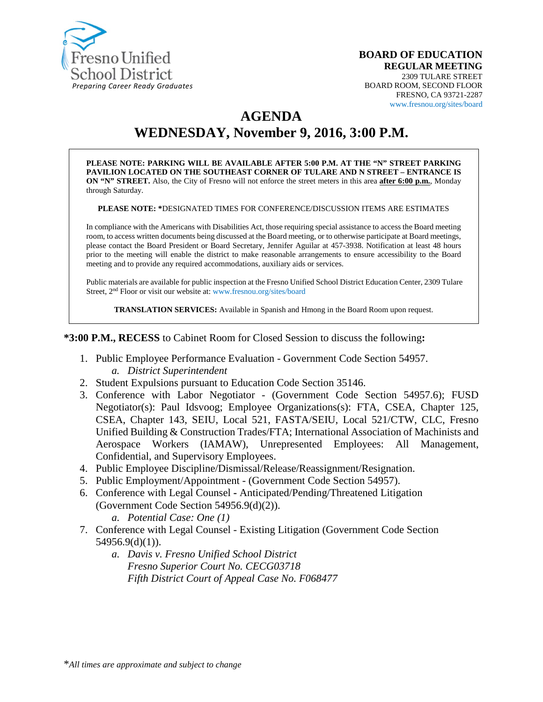

#### **BOARD OF EDUCATION REGULAR MEETING** 2309 TULARE STREET BOARD ROOM, SECOND FLOOR FRESNO, CA 93721-2287 www.fresnou.org/sites/board

# **AGENDA**

# **WEDNESDAY, November 9, 2016, 3:00 P.M.**

**PLEASE NOTE: PARKING WILL BE AVAILABLE AFTER 5:00 P.M. AT THE "N" STREET PARKING PAVILION LOCATED ON THE SOUTHEAST CORNER OF TULARE AND N STREET – ENTRANCE IS ON "N" STREET.** Also, the City of Fresno will not enforce the street meters in this area **after 6:00 p.m.**, Monday through Saturday.

**PLEASE NOTE: \***DESIGNATED TIMES FOR CONFERENCE/DISCUSSION ITEMS ARE ESTIMATES

In compliance with the Americans with Disabilities Act, those requiring special assistance to access the Board meeting room, to access written documents being discussed at the Board meeting, or to otherwise participate at Board meetings, please contact the Board President or Board Secretary, Jennifer Aguilar at 457-3938. Notification at least 48 hours prior to the meeting will enable the district to make reasonable arrangements to ensure accessibility to the Board meeting and to provide any required accommodations, auxiliary aids or services.

Public materials are available for public inspection at the Fresno Unified School District Education Center, 2309 Tulare Street, 2nd Floor or visit our website at: www.fresnou.org/sites/board

**TRANSLATION SERVICES:** Available in Spanish and Hmong in the Board Room upon request.

**\*3:00 P.M., RECESS** to Cabinet Room for Closed Session to discuss the following**:**

- 1. Public Employee Performance Evaluation Government Code Section 54957. *a. District Superintendent*
- 2. Student Expulsions pursuant to Education Code Section 35146.
- 3. Conference with Labor Negotiator (Government Code Section 54957.6); FUSD Negotiator(s): Paul Idsvoog; Employee Organizations(s): FTA, CSEA, Chapter 125, CSEA, Chapter 143, SEIU, Local 521, FASTA/SEIU, Local 521/CTW, CLC, Fresno Unified Building & Construction Trades/FTA; International Association of Machinists and Aerospace Workers (IAMAW), Unrepresented Employees: All Management, Confidential, and Supervisory Employees.
- 4. Public Employee Discipline/Dismissal/Release/Reassignment/Resignation.
- 5. Public Employment/Appointment (Government Code Section 54957).
- 6. Conference with Legal Counsel **-** Anticipated/Pending/Threatened Litigation (Government Code Section 54956.9(d)(2)).
	- *a. Potential Case: One (1)*
- 7. Conference with Legal Counsel Existing Litigation (Government Code Section  $54956.9(d)(1)$ ).
	- *a. Davis v. Fresno Unified School District Fresno Superior Court No. CECG03718 Fifth District Court of Appeal Case No. F068477*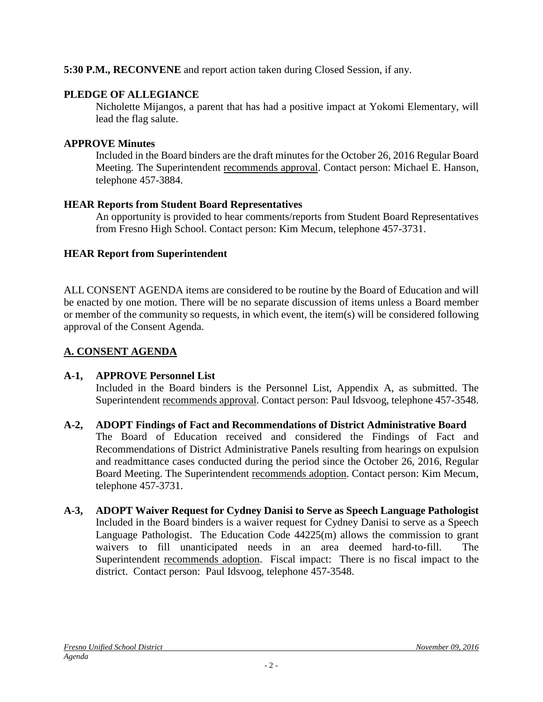#### **5:30 P.M., RECONVENE** and report action taken during Closed Session, if any.

#### **PLEDGE OF ALLEGIANCE**

Nicholette Mijangos, a parent that has had a positive impact at Yokomi Elementary, will lead the flag salute.

#### **APPROVE Minutes**

Included in the Board binders are the draft minutes for the October 26, 2016 Regular Board Meeting. The Superintendent recommends approval. Contact person: Michael E. Hanson, telephone 457-3884.

#### **HEAR Reports from Student Board Representatives**

An opportunity is provided to hear comments/reports from Student Board Representatives from Fresno High School. Contact person: Kim Mecum, telephone 457-3731.

#### **HEAR Report from Superintendent**

ALL CONSENT AGENDA items are considered to be routine by the Board of Education and will be enacted by one motion. There will be no separate discussion of items unless a Board member or member of the community so requests, in which event, the item(s) will be considered following approval of the Consent Agenda.

### **A. CONSENT AGENDA**

#### **A-1, APPROVE Personnel List**

Included in the Board binders is the Personnel List, Appendix A, as submitted. The Superintendent recommends approval. Contact person: Paul Idsvoog, telephone 457-3548.

# **A-2, ADOPT Findings of Fact and Recommendations of District Administrative Board**

The Board of Education received and considered the Findings of Fact and Recommendations of District Administrative Panels resulting from hearings on expulsion and readmittance cases conducted during the period since the October 26, 2016, Regular Board Meeting. The Superintendent recommends adoption. Contact person: Kim Mecum, telephone 457-3731.

**A-3, ADOPT Waiver Request for Cydney Danisi to Serve as Speech Language Pathologist** Included in the Board binders is a waiver request for Cydney Danisi to serve as a Speech Language Pathologist. The Education Code 44225(m) allows the commission to grant waivers to fill unanticipated needs in an area deemed hard-to-fill. The Superintendent recommends adoption. Fiscal impact: There is no fiscal impact to the district. Contact person: Paul Idsvoog, telephone 457-3548.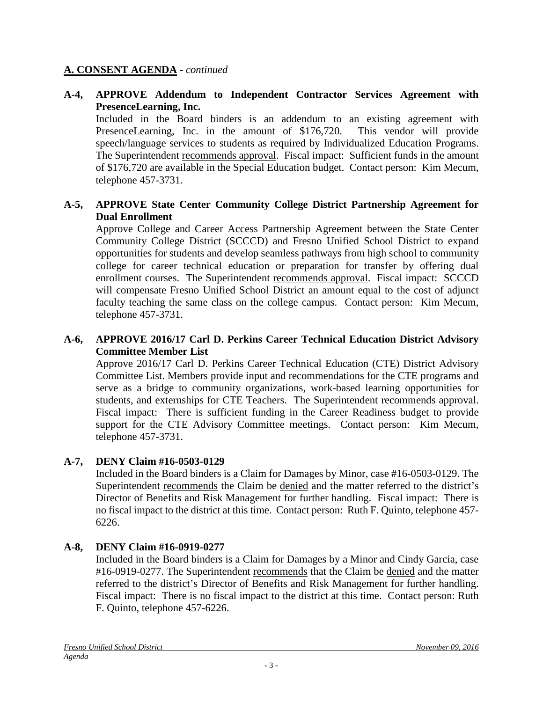#### **A. CONSENT AGENDA -** *continued*

#### **A-4, APPROVE Addendum to Independent Contractor Services Agreement with PresenceLearning, Inc.**

Included in the Board binders is an addendum to an existing agreement with PresenceLearning, Inc. in the amount of \$176,720. This vendor will provide speech/language services to students as required by Individualized Education Programs. The Superintendent recommends approval. Fiscal impact: Sufficient funds in the amount of \$176,720 are available in the Special Education budget. Contact person: Kim Mecum, telephone 457-3731.

#### **A-5, APPROVE State Center Community College District Partnership Agreement for Dual Enrollment**

Approve College and Career Access Partnership Agreement between the State Center Community College District (SCCCD) and Fresno Unified School District to expand opportunities for students and develop seamless pathways from high school to community college for career technical education or preparation for transfer by offering dual enrollment courses. The Superintendent recommends approval. Fiscal impact: SCCCD will compensate Fresno Unified School District an amount equal to the cost of adjunct faculty teaching the same class on the college campus. Contact person: Kim Mecum, telephone 457-3731.

#### **A-6, APPROVE 2016/17 Carl D. Perkins Career Technical Education District Advisory Committee Member List**

Approve 2016/17 Carl D. Perkins Career Technical Education (CTE) District Advisory Committee List. Members provide input and recommendations for the CTE programs and serve as a bridge to community organizations, work-based learning opportunities for students, and externships for CTE Teachers. The Superintendent recommends approval. Fiscal impact: There is sufficient funding in the Career Readiness budget to provide support for the CTE Advisory Committee meetings. Contact person: Kim Mecum, telephone 457-3731.

#### **A-7, DENY Claim #16-0503-0129**

Included in the Board binders is a Claim for Damages by Minor, case #16-0503-0129. The Superintendent recommends the Claim be denied and the matter referred to the district's Director of Benefits and Risk Management for further handling. Fiscal impact: There is no fiscal impact to the district at this time. Contact person: Ruth F. Quinto, telephone 457- 6226.

#### **A-8, DENY Claim #16-0919-0277**

Included in the Board binders is a Claim for Damages by a Minor and Cindy Garcia, case #16-0919-0277. The Superintendent recommends that the Claim be denied and the matter referred to the district's Director of Benefits and Risk Management for further handling. Fiscal impact: There is no fiscal impact to the district at this time. Contact person: Ruth F. Quinto, telephone 457-6226.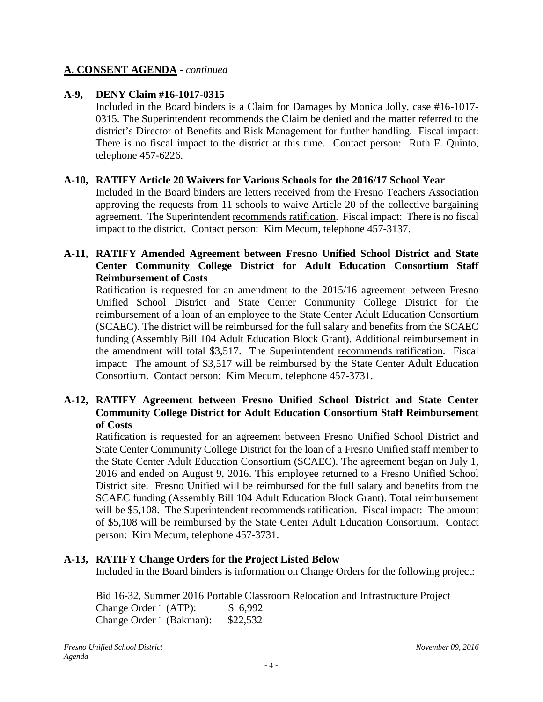#### **A. CONSENT AGENDA -** *continued*

#### **A-9, DENY Claim #16-1017-0315**

Included in the Board binders is a Claim for Damages by Monica Jolly, case #16-1017- 0315. The Superintendent recommends the Claim be denied and the matter referred to the district's Director of Benefits and Risk Management for further handling. Fiscal impact: There is no fiscal impact to the district at this time. Contact person: Ruth F. Quinto, telephone 457-6226.

#### **A-10, RATIFY Article 20 Waivers for Various Schools for the 2016/17 School Year**

Included in the Board binders are letters received from the Fresno Teachers Association approving the requests from 11 schools to waive Article 20 of the collective bargaining agreement. The Superintendent recommends ratification. Fiscal impact: There is no fiscal impact to the district. Contact person: Kim Mecum, telephone 457-3137.

#### **A-11, RATIFY Amended Agreement between Fresno Unified School District and State Center Community College District for Adult Education Consortium Staff Reimbursement of Costs**

Ratification is requested for an amendment to the 2015/16 agreement between Fresno Unified School District and State Center Community College District for the reimbursement of a loan of an employee to the State Center Adult Education Consortium (SCAEC). The district will be reimbursed for the full salary and benefits from the SCAEC funding (Assembly Bill 104 Adult Education Block Grant). Additional reimbursement in the amendment will total \$3,517. The Superintendent recommends ratification. Fiscal impact: The amount of \$3,517 will be reimbursed by the State Center Adult Education Consortium. Contact person: Kim Mecum, telephone 457-3731.

#### **A-12, RATIFY Agreement between Fresno Unified School District and State Center Community College District for Adult Education Consortium Staff Reimbursement of Costs**

Ratification is requested for an agreement between Fresno Unified School District and State Center Community College District for the loan of a Fresno Unified staff member to the State Center Adult Education Consortium (SCAEC). The agreement began on July 1, 2016 and ended on August 9, 2016. This employee returned to a Fresno Unified School District site.Fresno Unified will be reimbursed for the full salary and benefits from the SCAEC funding (Assembly Bill 104 Adult Education Block Grant). Total reimbursement will be \$5,108. The Superintendent recommends ratification. Fiscal impact: The amount of \$5,108 will be reimbursed by the State Center Adult Education Consortium. Contact person: Kim Mecum, telephone 457-3731.

#### **A-13, RATIFY Change Orders for the Project Listed Below**

Included in the Board binders is information on Change Orders for the following project:

Bid 16-32, Summer 2016 Portable Classroom Relocation and Infrastructure Project Change Order 1 (ATP): \$ 6,992 Change Order 1 (Bakman): \$22,532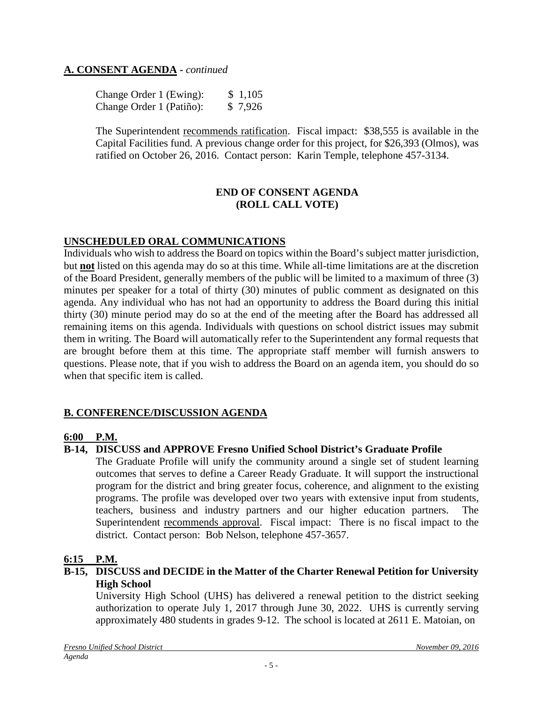#### **A. CONSENT AGENDA -** *continued*

Change Order 1 (Ewing): \$ 1,105 Change Order 1 (Patiño): \$ 7,926

The Superintendent recommends ratification. Fiscal impact: \$38,555 is available in the Capital Facilities fund. A previous change order for this project, for \$26,393 (Olmos), was ratified on October 26, 2016. Contact person: Karin Temple, telephone 457-3134.

#### **END OF CONSENT AGENDA (ROLL CALL VOTE)**

#### **UNSCHEDULED ORAL COMMUNICATIONS**

Individuals who wish to address the Board on topics within the Board's subject matter jurisdiction, but **not** listed on this agenda may do so at this time. While all-time limitations are at the discretion of the Board President, generally members of the public will be limited to a maximum of three (3) minutes per speaker for a total of thirty (30) minutes of public comment as designated on this agenda. Any individual who has not had an opportunity to address the Board during this initial thirty (30) minute period may do so at the end of the meeting after the Board has addressed all remaining items on this agenda. Individuals with questions on school district issues may submit them in writing. The Board will automatically refer to the Superintendent any formal requests that are brought before them at this time. The appropriate staff member will furnish answers to questions. Please note, that if you wish to address the Board on an agenda item, you should do so when that specific item is called.

#### **B. CONFERENCE/DISCUSSION AGENDA**

#### **6:00 P.M.**

#### **B-14, DISCUSS and APPROVE Fresno Unified School District's Graduate Profile**

The Graduate Profile will unify the community around a single set of student learning outcomes that serves to define a Career Ready Graduate. It will support the instructional program for the district and bring greater focus, coherence, and alignment to the existing programs. The profile was developed over two years with extensive input from students, teachers, business and industry partners and our higher education partners. The Superintendent recommends approval. Fiscal impact: There is no fiscal impact to the district. Contact person: Bob Nelson, telephone 457-3657.

#### **6:15 P.M.**

#### **B-15, DISCUSS and DECIDE in the Matter of the Charter Renewal Petition for University High School**

University High School (UHS) has delivered a renewal petition to the district seeking authorization to operate July 1, 2017 through June 30, 2022. UHS is currently serving approximately 480 students in grades 9-12. The school is located at 2611 E. Matoian, on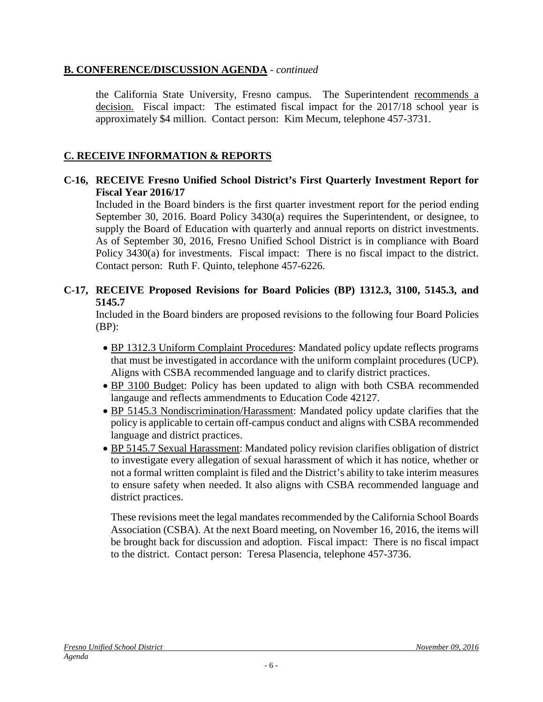#### **B. CONFERENCE/DISCUSSION AGENDA** - *continued*

the California State University, Fresno campus. The Superintendent recommends a decision. Fiscal impact: The estimated fiscal impact for the 2017/18 school year is approximately \$4 million. Contact person: Kim Mecum, telephone 457-3731.

### **C. RECEIVE INFORMATION & REPORTS**

#### **C-16, RECEIVE Fresno Unified School District's First Quarterly Investment Report for Fiscal Year 2016/17**

Included in the Board binders is the first quarter investment report for the period ending September 30, 2016. Board Policy 3430(a) requires the Superintendent, or designee, to supply the Board of Education with quarterly and annual reports on district investments. As of September 30, 2016, Fresno Unified School District is in compliance with Board Policy 3430(a) for investments. Fiscal impact: There is no fiscal impact to the district. Contact person: Ruth F. Quinto, telephone 457-6226.

#### **C-17, RECEIVE Proposed Revisions for Board Policies (BP) 1312.3, 3100, 5145.3, and 5145.7**

Included in the Board binders are proposed revisions to the following four Board Policies (BP):

- BP 1312.3 Uniform Complaint Procedures: Mandated policy update reflects programs that must be investigated in accordance with the uniform complaint procedures (UCP). Aligns with CSBA recommended language and to clarify district practices.
- BP 3100 Budget: Policy has been updated to align with both CSBA recommended langauge and reflects ammendments to Education Code 42127.
- BP 5145.3 Nondiscrimination/Harassment: Mandated policy update clarifies that the policy is applicable to certain off-campus conduct and aligns with CSBA recommended language and district practices.
- BP 5145.7 Sexual Harassment: Mandated policy revision clarifies obligation of district to investigate every allegation of sexual harassment of which it has notice, whether or not a formal written complaint is filed and the District's ability to take interim measures to ensure safety when needed. It also aligns with CSBA recommended language and district practices.

These revisions meet the legal mandates recommended by the California School Boards Association (CSBA). At the next Board meeting, on November 16, 2016, the items will be brought back for discussion and adoption. Fiscal impact: There is no fiscal impact to the district. Contact person: Teresa Plasencia, telephone 457-3736.